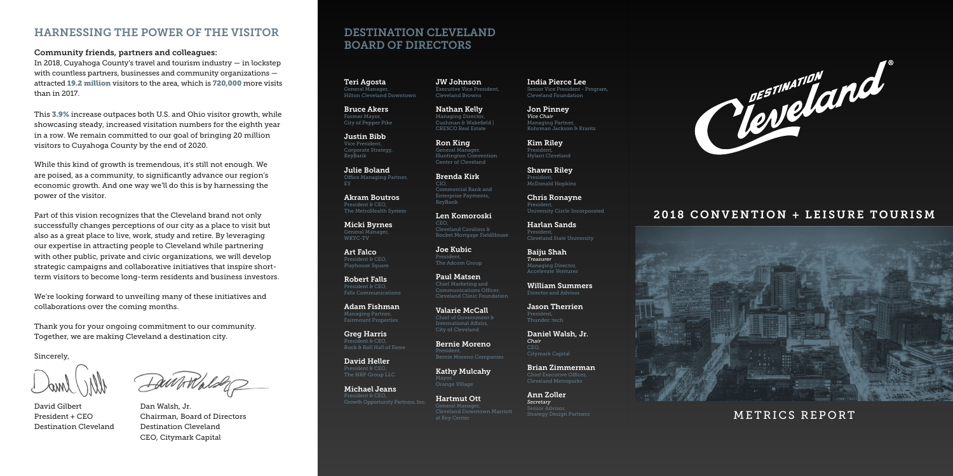## DESTINATION CLEVELAND BOARD OF DIRECTORS

Teri Agosta General Manager, Hilton Cleveland Downtown

Bruce Akers Former Mayor, City of Pepper Pike

Justin Bibb Vice President, Corporate Strategy, KeyBank

Julie Boland Office Managing Partner,

Akram Boutros President & CEO. The MetroHealth System

Micki Byrnes General Manager, WKYC-TV

Art Falco President & CEO. Playhouse Square

Robert Falls President & CEO, Falls Communications

Adam Fishman Managing Partner, Fairmount Properties

Greg Harris Rock & Roll Hall of Fame

David Heller The NRP Group LLC

Michael Jeans Growth Opportunity Partners, Inc. JW Johnson Executive Vice President, Cleveland Browns

Nathan Kelly Managing Director Cushman & Wakefield | CRESCO Real Estate

> Shawn Riley Presiden McDonald Hopkins

Ron King General Manager, Huntington Convention Center of Cleveland

Brenda Kirk  $C<sub>1</sub>$ Commercial Bank and Enterprise Payments, KeyBank

Len Komoroski CEO, Cleveland Cavaliers & Rocket Mortgage FieldHouse

Joe Kubic President, The Adcom Group

Paul Matsen Chief Marketing and Cleveland Clinic Foundation

Valarie McCall City of Cleveland

Bernie Moreno President, Bernie Moreno Companies

Kathy Mulcahy Mayor,

Hartmut Ott Cleveland Downtown Marriott India Pierce Lee Senior Vice President - Program, Cleveland Foundation

Jon Pinney *Vice Chair* Managing Partner, Kohrman Jackson & Krantz

Kim Riley President, Hylant Cleveland

Chris Ronayne President, University Circle Incorporated

Harlan Sands President, Cleveland State University

Baiju Shah *Treasurer* Managing Director, Accelevate Ventures

William Summers Director and Advisor

Jason Therrien

David Gilbert Dan Walsh, Jr. Destination Cleveland Destination Cleveland

Daniel Walsh, Jr. *Chair* CEO, Citymark Capital

Brian Zimmerman Cleveland Metroparks

Ann Zoller *Secretary* Senior Advisc Strategy Design Partners



### 2018 CONVENTION + LEISURE TOURISM



METRICS REPORT

### HARNESSING THE POWER OF THE VISITOR

#### Community friends, partners and colleagues:

In 2018, Cuyahoga County's travel and tourism industry — in lockstep with countless partners, businesses and community organizations attracted 19.2 million visitors to the area, which is 720,000 more visits than in 2017.

This 3.9% increase outpaces both U.S. and Ohio visitor growth, while showcasing steady, increased visitation numbers for the eighth year in a row. We remain committed to our goal of bringing 20 million visitors to Cuyahoga County by the end of 2020.

While this kind of growth is tremendous, it's still not enough. We are poised, as a community, to significantly advance our region's economic growth. And one way we'll do this is by harnessing the power of the visitor.

Part of this vision recognizes that the Cleveland brand not only successfully changes perceptions of our city as a place to visit but also as a great place to live, work, study and retire. By leveraging our expertise in attracting people to Cleveland while partnering with other public, private and civic organizations, we will develop strategic campaigns and collaborative initiatives that inspire shortterm visitors to become long-term residents and business investors.

We're looking forward to unveiling many of these initiatives and collaborations over the coming months.

Thank you for your ongoing commitment to our community. Together, we are making Cleveland a destination city.

Sincerely,

President + CEO Chairman, Board of Directors CEO, Citymark Capital